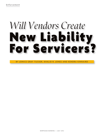# *Will Vendors Create* **New Liability<br>For Servicers?**

BY JONICE GRAY TUCKER, KHALID R. JONES AND KENDRA KINNAIRD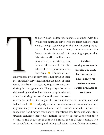

he historic \$26 billion federal-state settlement with the five largest mortgage servicers is the latest evidence that we are facing a sea change in the loan servicing industry—a change that was already under way when the financial crisis hit in 2008. It is becoming apparent that

this reform effort will encompass not only servicers, but their vendors as well, and the future of servicer-vendor relationships. ● The use of out-

side vendors by loan servicers is not new, but their role in default servicing, and the adequacy of their work, has drawn increasing regulatory scrutiny during the mortgage crisis. The quality of services delivered by vendors has received unprecedented attention during the last 18 months, and the work

**Vendors employed to handle foreclosures could be the source of new liability for servicers unless careful precautions are taken.**

of vendors has been the subject of enforcement actions at both the state and federal levels.  $\bullet$  Third-party vendors are ubiquitous in an industry where approximately 50 million residential home loans are serviced. They include inspectors handing pre-foreclosure inspections, law firms and substitute trustees handling foreclosure matters, property preservation companies cleaning and securing abandoned homes, and real estate companies responsible for marketing and selling real estate–owned (REO) properties.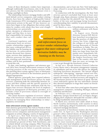Some of these third-party vendors have important, although traditionally lesser-known, roles in the foreclosure process, but the continuing foreclosure crisis is shining a spotlight on them.

The relationships between mortgage lenders and affiliated default service companies, and conduct relating thereto, have been the subject of high-profile Federal Trade Commission (FTC) investigations and subsequent enforcement actions in the past. Of late, however, servicers have begun to face allegations that actions undertaken by vendors with whom they have arm's-length

relationships are potentially unfair, deceptive or otherwise illegal, and that they, in turn, bear responsibility for ensuring that such conduct does not occur.

Continued regulatory and enforcement focus on servicervendor relationships suggests that more widespread derivative liability may be looming on the horizon. As enforcement actions discussed here demonstrate, servicers that implement effective processes for choosing, retaining and monitoring vendors will be best positioned to avoid this risk.

To date, state banking regulators and attorneys general (AGs) have focused enforcement resources on the servicing practices of the very largest servicers while also pursuing direct actions against a bevy of third-party service providers involved in the foreclosure process for alleged improprieties.

Federal agencies, principally, have targeted industrywide management of the foreclosure process by major servicers, examining both the relationship between servicers and their vendors and the specific practices of both. The recent federal-state settlement with the five largest loan servicers illustrates the level of emphasis placed on management of third-party providers, as it includes a host of provisions related to oversight of servicing vendors.

This article discusses regulation of servicers' relationships with foreclosure vendors, and recommends best practices for managing these relationships in today's regulatory environment.

### **State enforcement activity against vendors**

State attorneys general from New York to Florida to Washington State have targeted individual foreclosure firms, trustee service companies and document management companies in actions alleging a variety of improprieties.

In April 2011, New York Attorney General Eric Schneiderman subpoenaed the state's largest foreclosure law firm, the Steven J. Baum firm, which handled an estimated 40 percent of New York foreclosures, and its related default servicing company, Pillar Processing. Judges across the state had rejected cases filed by the Baum firm based on its failure to provide necessary documentation, and at least one New York bankruptcy judge refused to accept documentation filed by Pillar Processing.

In connection with the investigation, the New York attorney general concluded that from at least 2007 through 2009, Baum attorneys verified foreclosure complaints stating that the plaintiff was "the owner and holder of the note and mortgage being foreclosed," notwithstanding their inability to provide documentary proof for these claims.

**C***ontinued regulatory and enforcement focus on servicer-vendor relationships suggests that more widespread derivative liability may be looming on the horizon.*

On March 22, 2012, Schneiderman announced a \$4 million settlement with Baum and Pillar.

> In August 2010, Florida Attorney General Bill McCollum launched investigations into the practices of eight foreclosure law firms, triggering the collapse of two firms and leaving thousands of Florida foreclosures in limbo. The consequences of the withdrawal of these two large firms from the market were immediately felt: Florida presently has among the longest foreclosure timelines in the country, with more than two years, on average, for

a case to get through the foreclosure system.

In late 2011, Nevada Attorney General Catherine Cortez Masto sued a document management company, its subsidiaries and two of its title officers for allegedly falsifying foreclosure documents. The lawsuit alleged widespread "robo-signing," improper control over foreclosure attorneys and the foreclosure process, and argued the company sacrificed accuracy and integrity in the foreclosure process in the interest of speed. The 606 count indictment against the two individuals claimed they directed employees to forge their names on foreclosure documents.

At least four other states have acted against document management companies, including Michigan, Illinois, California and Missouri.

In February 2012, a Missouri grand jury indicted Alpharetta, Georgia–based DocX LLC on forgery charges, alleging DocX employees defrauded the recorder's office by filing fraudulently notarized documents.

In March 2012, servicers were under attack in Texas, North Carolina and Kentucky, with counties in those states challenging alleged fraudulently executed and notarized mortgage documents.

The practices of foreclosure trustees also have come under fire. In April 2011, the Washington attorney general's office ordered dozens of foreclosure trustees to address what it characterized as "widespread" violations of the states "physical presence" requirements for foreclosure trustees. In Washington, foreclosure trustees must maintain a physical presence in the state, with active local telephone service for consumers wishing to make last-minute payoffs or act to stop scheduled foreclosures.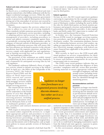# **Federal and state enforcement actions against major servicers**

In March 2012, a combined group of federal and state agencies entered into a \$26 billion settlement with the five largest residential mortgage servicers. While the settlement resolves claims underlying numerous government probes, it preserves the right of third parties to file claims arising out of the misconduct of servicers not covered by the settlement, thus allowing civil claims by individual consumers.

The settlement requires the servicers subject to its terms to adhere to a new set of servicing standards. These standards include numerous provisions relating to management of third-party service providers, including: 1) adopting policies and processes for oversight and management of providers, including procedures to review and address consumer complaints against them; 2) periodically reviewing both the performance and the adequacy of internal controls of third-party providers; 3) establishing certification processes that will ensure that law firm attorneys are licensed to practice in the relevant jurisdiction, have the requisite experience, and that firm services comply with applicable law and regulations; and 4) limiting servicing fees such as default-, foreclosure- and bankruptcy-related fees.

The provisions of this settlement are widely viewed as establishing *de facto* national servicing standards and a framework for anticipated servicing rules by federal regulators.

This landmark settlement followed a flurry of regulatory activity related to default servicing at the federal level. In April 2011, the Office of the Comptroller of the

Currency (OCC), the Federal Reserve Board (FRB) and the Office of Thrift Supervision (OTS) entered into consent orders with 14 federally regulated mortgage servicers related to alleged deficiencies in their default servicing practices.

The consent decrees were the outgrowth of a horizontal review undertaken in the fourth quarter of 2010 that allegedly found myriad weaknesses in servicing practices, including deficiencies in document retention by third-party firms as well as inadequate guidance, poli-

cies, procedures and contracts between servicers and their vendors.

With respect to interactions with third-party vendors, the consent orders required the servicers to: 1) implement appropriate policies and procedures to ensure third-party provider compliance with legal requirements during foreclosure proceedings; 2) take measures to ensure proper record-keeping and filing of original documents and documents sent to third parties; and 3) implement policies to ensure periodic reviews of third-party providers.

The consent orders also required a look-back loan-file

review aimed at compensating consumers who suffered "financial injury," due in some instances to noncompliance by third parties.

# **Federal regulation**

On June 30, 2011, the OCC issued supervisory guidance conveying its expectations for the oversight and management of foreclosures. This guidance addressed management of third-party vendors, including the need to define the roles for which third parties are hired, monitor performance and properly structure and prudently manage relationships with third-party providers. It also requires banks and thrifts under OCC supervision to conduct selfassessments and foreclosure-file reviews.

In October 2011, the Consumer Financial Protection Bureau (CFPB) issued its mortgage servicing examination procedures, specifically addressing the conduct of third-party vendors. The examination guidance focuses on the relationship between servicers and vendors, signaling an expectation that servicers will ensure that vendors effectively manage compliance with federal consumer financial laws applicable to the product or service being provided.

Most recently, in April 2012, the CFPB issued additional guidance on servicer responsibilities for thirdparty vendor management, reiterating the servicer's duty to ensure such business arrangements do not present unwarranted risks to consumers.

The CFPB's most recent guidance indicates that servicers should conduct thorough due diligence of their providers' compliance with law; review their providers' training materials to ensure appropriate training and

> oversight of employees; and take prompt action (including terminating relationships) when problems are identified through the monitoring process.

### **Recommendations and best practices**

Regulators no longer view foreclosure as a fragmented process involving discrete elements such as pre-foreclosure default servicing, pre-judgment case management and post-judgment foreclosure sale, but rather see it as a unified process. Accordingly, servicers can no longer afford to rely

exclusively on foreclosure counsel, trustees, document management companies or other vendors for assurance that foreclosures are handled in compliance with laws and guidelines.

As recent government enforcement and regulatory actions make clear, it is incumbent on loan servicers to use due diligence to select and engage foreclosure vendors, monitor the quality of their work, and identify and mitigate problems arising from these engagements. Failure to do so could lead to damaging examination reports from the federal and state agencies, exposure to potential enforcement actions and private litigation.

In this environment, adopting the following best

**R***egulators no longer*

*view foreclosure as a fragmented process involving*

> *discrete elements . . . , but rather see it as a*

> > *unified process.*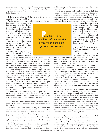practices may bolster servicers' compliance management systems and help them avoid liability for improper conduct by their vendors. Consider taking the following steps:

# **1.** *Establish written guidelines and criteria for the selection of service providers.*

While servicers may have legitimate reasons for mak-

ing foreclosure referrals to a limited number of foreclosure counsel and/or trustee services (including familiarity, competency and efficiency), clearly established and documented selection criteria will reduce the appearance of impropriety in the selection process.

Moreover, established criteria provide a baseline for measuring alternative providers when making vendor retention and removal decisions.

Appropriate criteria should include the provider's qualifications, organization and manage-

ment expertise, service capacity, level of complaints (and proportion of successfully resolved complaints), sophistication of information systems, existence of fully implemented quality-assurance and disaster-recovery plans, insurance coverage, financial viability, and compliance with licensing requirements and rules and regulations.

As with all organizations, situations change over time. A foreclosure firm may gain (or lose) expertise, personnel or financial resources from one year to the next. Essential operating systems may fail or become obsolete. Stronger or more creative vendors may become available.

Revisiting vendors periodically helps ensure that the criterion on which the initial selection rests still pertains. Documents such as vendor liability insurance policies, occupational or professional licenses and their regulatory examination reports should be obtained annually and reviewed.

Where services provided by a third party involve interfacing with consumers, face-to-face meetings with the service provider's management and key employees also can reveal a wealth of useful information.

# **2.** *Establish written record-keeping guidelines and protocols for service providers, and monitor their implementation.*

To ensure immediate access to key documents that reside primarily with vendors, servicers should adopt and enforce clear document-retention protocols. Such protocols should outline in detail the specific documents to be retained, as well as the retention period, retention method, anticipated time frames for delivery and/or uploading, and naming conventions for the documents in question.

In crafting these guidelines, servicers should be aware of differences in document nomenclature among the states and recognize that even among providers within a single state, documents may be referred to inconsistently.

Servicers' contracts with vendors should include the parties' expectations for vendor compliance with recordkeeping and document-transmission guidelines. Document-transmission guidelines should contain safeguards against inadvertent disclosure or misdirection of documents, particularly for those that contain non-public per-

> sonal or financial information about consumers. Servicers should establish contractual rights to audit providers for compliance with required recordkeeping, rights to terminate or sanction non-compliance, and ensure adequate indemnities to cover financial losses in case of inadvertent disclosure, loss of documents or other problems.

# **3.** *Establish state-by-state foreclosure-compliance review checklists.*

Because foreclosure processes are created by state law, foreclo-

sure service providers should be monitored regularly for compliance with applicable state law. Servicers should select providers with robust procedures for keeping abreast of statutory changes.

State-by-state foreclosure checklists can be useful for servicer personnel education and training, as well as for quality-control monitoring of vendors. Checklists should identify the steps in the foreclosure process and the documentation appropriate to each step, such as service of process and posting or publication of notice.

Because foreclosure procedures vary considerably from state to state, one-size-fits-all solutions are not ideal for the creation of such checklists. Servicers' in-house legal staffs, outside counsel distinct from foreclosure counsel, title companies and consultants are useful in this effort.

As with other compliance-related tools, the information checklists should be updated regularly because state foreclosure laws are being constantly amended. For example, a number of states added mandatory mediation to the foreclosure process as a result of the financial crisis, and others placed temporary moratoria on foreclosures. Failure of a servicer or vendor to update state-by-state foreclosure information to include these requirements could result in costly and ineffective foreclosure filings with potential risk of suit by injured consumers as well as negative examination findings, investigations or enforcement actions by federal and/or state regulators.

# **4.** *Conduct periodic review of foreclosure-related documentation prepared by service providers.*

Periodic review of foreclosure documentation prepared by third-party providers is essential. The quality and accuracy of documentation provided to consumers and courts has been at the heart of many of the enforcement actions described here, and of late, inadequate



**P***eriodic review of*

*foreclosure documentation prepared by third-party providers is essential.*